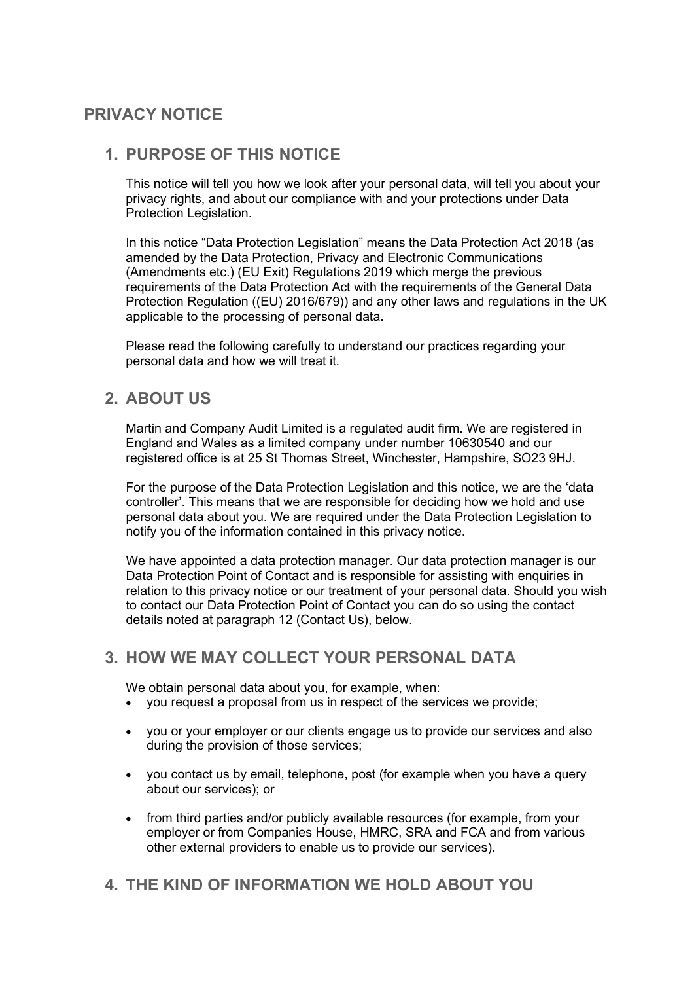# **PRIVACY NOTICE**

### **1. PURPOSE OF THIS NOTICE**

This notice will tell you how we look after your personal data, will tell you about your privacy rights, and about our compliance with and your protections under Data Protection Legislation.

In this notice "Data Protection Legislation" means the Data Protection Act 2018 (as amended by the Data Protection, Privacy and Electronic Communications (Amendments etc.) (EU Exit) Regulations 2019 which merge the previous requirements of the Data Protection Act with the requirements of the General Data Protection Regulation ((EU) 2016/679)) and any other laws and regulations in the UK applicable to the processing of personal data.

Please read the following carefully to understand our practices regarding your personal data and how we will treat it.

## **2. ABOUT US**

Martin and Company Audit Limited is a regulated audit firm. We are registered in England and Wales as a limited company under number 10630540 and our registered office is at 25 St Thomas Street, Winchester, Hampshire, SO23 9HJ.

For the purpose of the Data Protection Legislation and this notice, we are the 'data controller'. This means that we are responsible for deciding how we hold and use personal data about you. We are required under the Data Protection Legislation to notify you of the information contained in this privacy notice.

We have appointed a data protection manager. Our data protection manager is our Data Protection Point of Contact and is responsible for assisting with enquiries in relation to this privacy notice or our treatment of your personal data. Should you wish to contact our Data Protection Point of Contact you can do so using the contact details noted at paragraph 12 (Contact Us), below.

## **3. HOW WE MAY COLLECT YOUR PERSONAL DATA**

We obtain personal data about you, for example, when:

- you request a proposal from us in respect of the services we provide;
- you or your employer or our clients engage us to provide our services and also during the provision of those services;
- you contact us by email, telephone, post (for example when you have a query about our services); or
- from third parties and/or publicly available resources (for example, from your employer or from Companies House, HMRC, SRA and FCA and from various other external providers to enable us to provide our services).

## **4. THE KIND OF INFORMATION WE HOLD ABOUT YOU**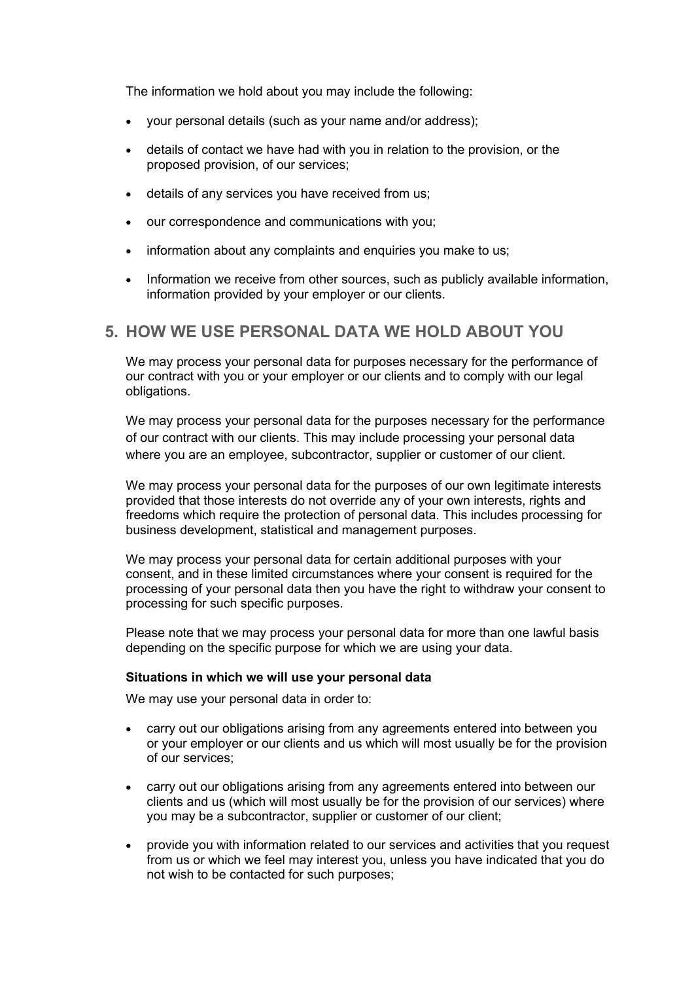The information we hold about you may include the following:

- your personal details (such as your name and/or address);
- details of contact we have had with you in relation to the provision, or the proposed provision, of our services;
- details of any services you have received from us;
- our correspondence and communications with you;
- information about any complaints and enquiries you make to us;
- Information we receive from other sources, such as publicly available information, information provided by your employer or our clients.

## **5. HOW WE USE PERSONAL DATA WE HOLD ABOUT YOU**

We may process your personal data for purposes necessary for the performance of our contract with you or your employer or our clients and to comply with our legal obligations.

We may process your personal data for the purposes necessary for the performance of our contract with our clients. This may include processing your personal data where you are an employee, subcontractor, supplier or customer of our client.

We may process your personal data for the purposes of our own legitimate interests provided that those interests do not override any of your own interests, rights and freedoms which require the protection of personal data. This includes processing for business development, statistical and management purposes.

We may process your personal data for certain additional purposes with your consent, and in these limited circumstances where your consent is required for the processing of your personal data then you have the right to withdraw your consent to processing for such specific purposes.

Please note that we may process your personal data for more than one lawful basis depending on the specific purpose for which we are using your data.

#### **Situations in which we will use your personal data**

We may use your personal data in order to:

- carry out our obligations arising from any agreements entered into between you or your employer or our clients and us which will most usually be for the provision of our services;
- carry out our obligations arising from any agreements entered into between our clients and us (which will most usually be for the provision of our services) where you may be a subcontractor, supplier or customer of our client;
- provide you with information related to our services and activities that you request from us or which we feel may interest you, unless you have indicated that you do not wish to be contacted for such purposes;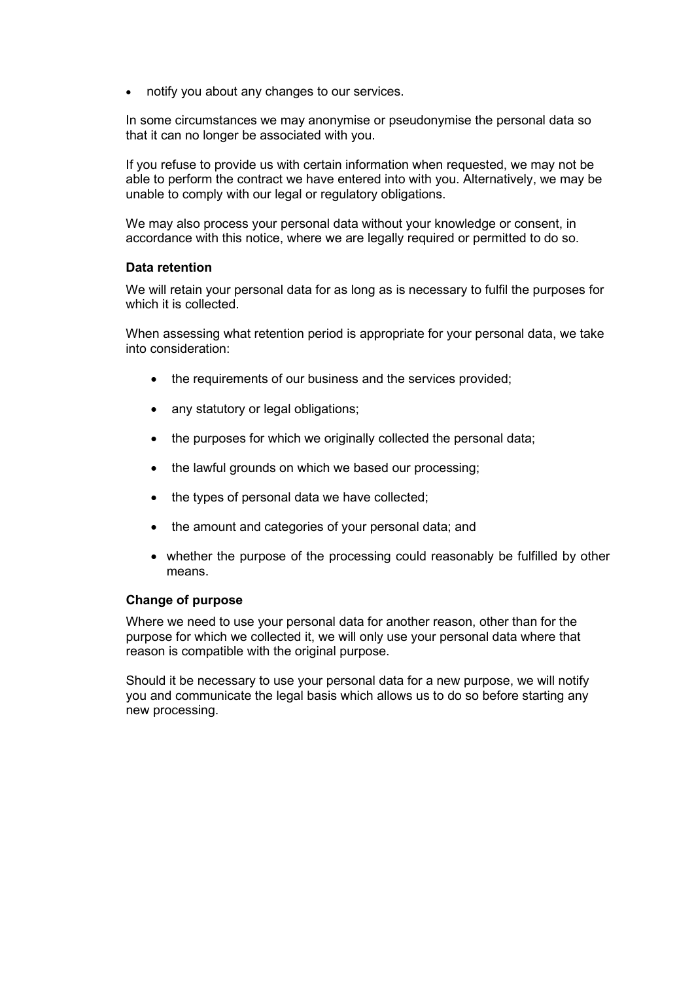• notify you about any changes to our services.

In some circumstances we may anonymise or pseudonymise the personal data so that it can no longer be associated with you.

If you refuse to provide us with certain information when requested, we may not be able to perform the contract we have entered into with you. Alternatively, we may be unable to comply with our legal or regulatory obligations.

We may also process your personal data without your knowledge or consent, in accordance with this notice, where we are legally required or permitted to do so.

#### **Data retention**

We will retain your personal data for as long as is necessary to fulfil the purposes for which it is collected.

When assessing what retention period is appropriate for your personal data, we take into consideration:

- the requirements of our business and the services provided;
- any statutory or legal obligations:
- the purposes for which we originally collected the personal data;
- the lawful grounds on which we based our processing;
- the types of personal data we have collected;
- the amount and categories of your personal data; and
- whether the purpose of the processing could reasonably be fulfilled by other means.

#### **Change of purpose**

Where we need to use your personal data for another reason, other than for the purpose for which we collected it, we will only use your personal data where that reason is compatible with the original purpose.

Should it be necessary to use your personal data for a new purpose, we will notify you and communicate the legal basis which allows us to do so before starting any new processing.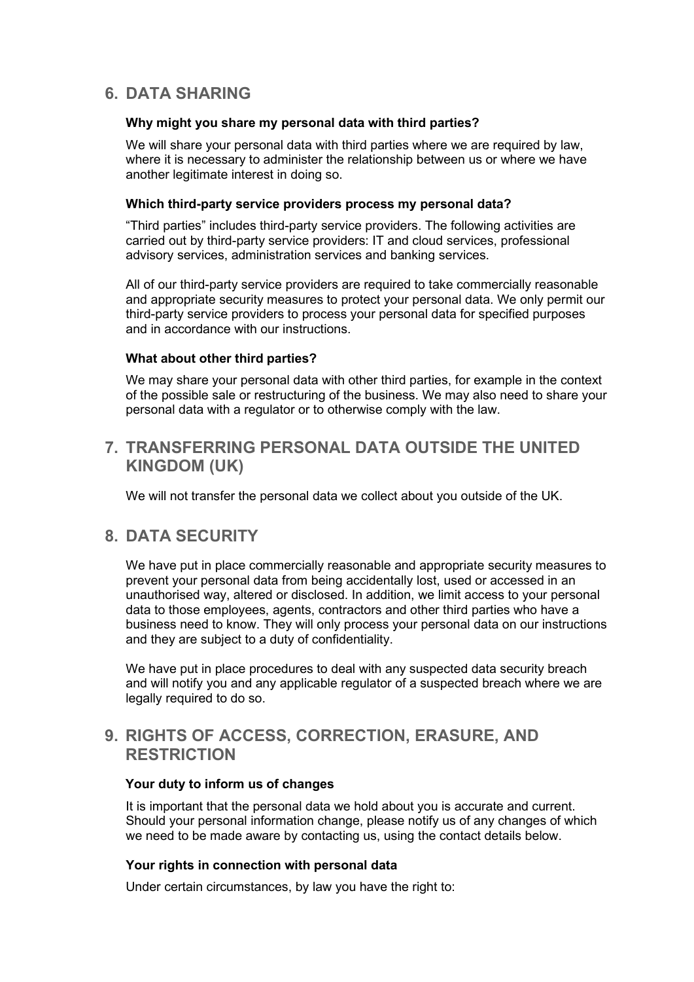# **6. DATA SHARING**

#### **Why might you share my personal data with third parties?**

We will share your personal data with third parties where we are required by law, where it is necessary to administer the relationship between us or where we have another legitimate interest in doing so.

#### **Which third-party service providers process my personal data?**

"Third parties" includes third-party service providers. The following activities are carried out by third-party service providers: IT and cloud services, professional advisory services, administration services and banking services.

All of our third-party service providers are required to take commercially reasonable and appropriate security measures to protect your personal data. We only permit our third-party service providers to process your personal data for specified purposes and in accordance with our instructions.

#### **What about other third parties?**

We may share your personal data with other third parties, for example in the context of the possible sale or restructuring of the business. We may also need to share your personal data with a regulator or to otherwise comply with the law.

### **7. TRANSFERRING PERSONAL DATA OUTSIDE THE UNITED KINGDOM (UK)**

We will not transfer the personal data we collect about you outside of the UK.

### **8. DATA SECURITY**

We have put in place commercially reasonable and appropriate security measures to prevent your personal data from being accidentally lost, used or accessed in an unauthorised way, altered or disclosed. In addition, we limit access to your personal data to those employees, agents, contractors and other third parties who have a business need to know. They will only process your personal data on our instructions and they are subject to a duty of confidentiality.

We have put in place procedures to deal with any suspected data security breach and will notify you and any applicable regulator of a suspected breach where we are legally required to do so.

## **9. RIGHTS OF ACCESS, CORRECTION, ERASURE, AND RESTRICTION**

#### **Your duty to inform us of changes**

It is important that the personal data we hold about you is accurate and current. Should your personal information change, please notify us of any changes of which we need to be made aware by contacting us, using the contact details below.

#### **Your rights in connection with personal data**

Under certain circumstances, by law you have the right to: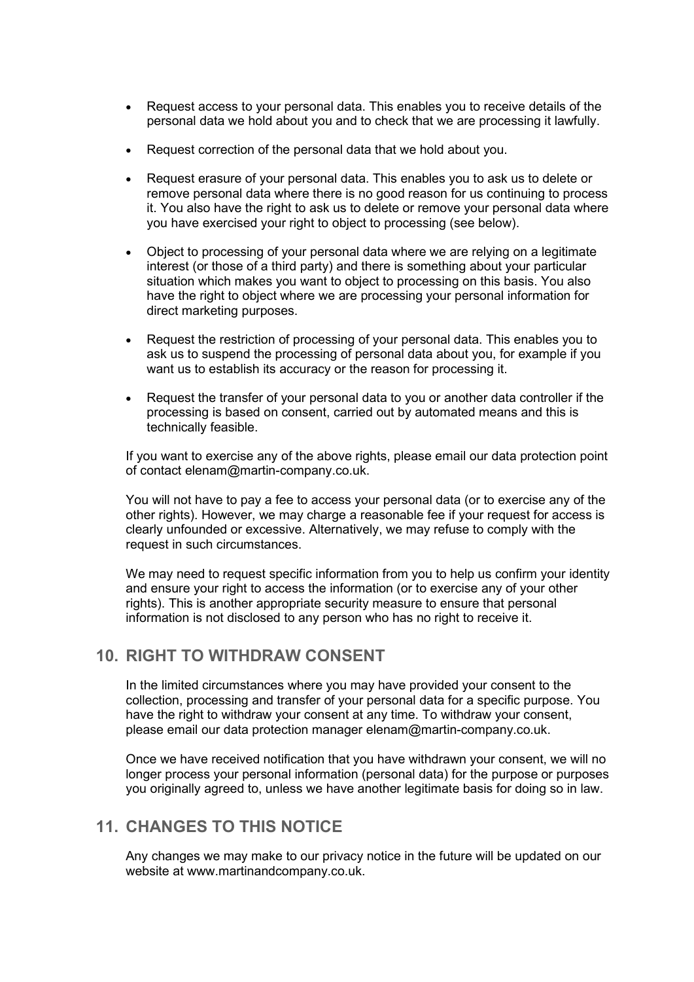- Request access to your personal data. This enables you to receive details of the personal data we hold about you and to check that we are processing it lawfully.
- Request correction of the personal data that we hold about you.
- Request erasure of your personal data. This enables you to ask us to delete or remove personal data where there is no good reason for us continuing to process it. You also have the right to ask us to delete or remove your personal data where you have exercised your right to object to processing (see below).
- Object to processing of your personal data where we are relying on a legitimate interest (or those of a third party) and there is something about your particular situation which makes you want to object to processing on this basis. You also have the right to object where we are processing your personal information for direct marketing purposes.
- Request the restriction of processing of your personal data. This enables you to ask us to suspend the processing of personal data about you, for example if you want us to establish its accuracy or the reason for processing it.
- Request the transfer of your personal data to you or another data controller if the processing is based on consent, carried out by automated means and this is technically feasible.

If you want to exercise any of the above rights, please email our data protection point of contact elenam@martin-company.co.uk.

You will not have to pay a fee to access your personal data (or to exercise any of the other rights). However, we may charge a reasonable fee if your request for access is clearly unfounded or excessive. Alternatively, we may refuse to comply with the request in such circumstances.

We may need to request specific information from you to help us confirm your identity and ensure your right to access the information (or to exercise any of your other rights). This is another appropriate security measure to ensure that personal information is not disclosed to any person who has no right to receive it.

# **10. RIGHT TO WITHDRAW CONSENT**

In the limited circumstances where you may have provided your consent to the collection, processing and transfer of your personal data for a specific purpose. You have the right to withdraw your consent at any time. To withdraw your consent, please email our data protection manager elenam@martin-company.co.uk.

Once we have received notification that you have withdrawn your consent, we will no longer process your personal information (personal data) for the purpose or purposes you originally agreed to, unless we have another legitimate basis for doing so in law.

## **11. CHANGES TO THIS NOTICE**

Any changes we may make to our privacy notice in the future will be updated on our website at www.martinandcompany.co.uk.